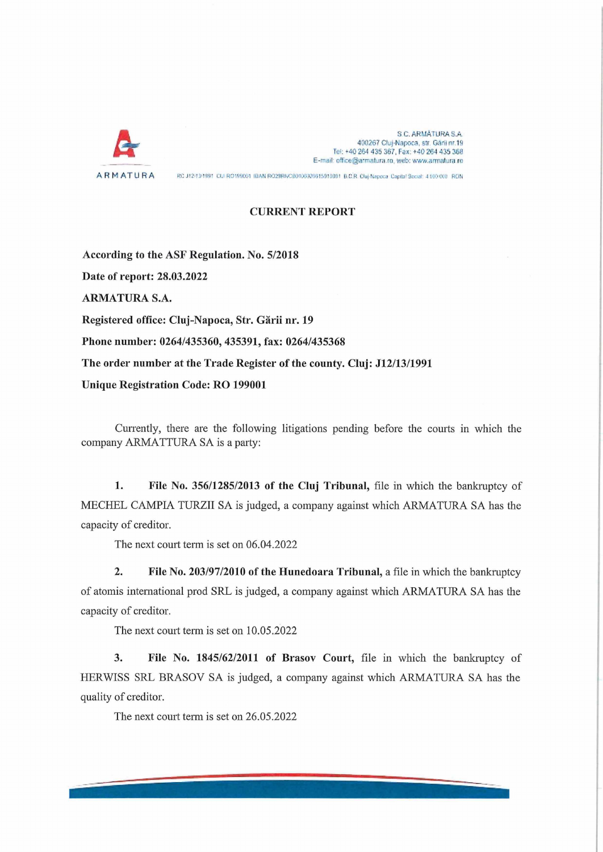

S C. ARMÄTURA S.A. 400267 Cluj-Napoca, str. Gării nr.19 Tel: +40 264 435 367, Fax: +40 264 435 368 E-mail: office@armatura.ro, web: www.armatura.ro

ARMATURA RC J12/13/1991 CU RO1SSCO1 (BAN RO29RNCB0106029615010001 B.C.R. Cluj-Napecal Capital Secial: 4.000.000 RON

## **CURRENT REPORT**

**According to the ASF Regulation. No. 5/2018 Date of report: 28.03.2022 ARMATURA S.A. Registered office: Cluj-Napoca, Str. Gärii nr. 19 Phone number: 0264/435360, 435391, fax: 0264/435368 The order number at the Trade Register of the county. Cluj: J12/13/1991 Unique Registration Code: RO 199001**

Currently, there are the following litigations pending before the courts in which the company ARMATTURA SA is a party:

**1. File No. 356/1285/2013 of the Cluj Tribunal,** file in which the bankruptcy of MECHEL CAMPIA TURZII SA is judged, a Company against which ARMATURA SA has the capacity of creditor.

The next court term is set on 06.04.2022

**2.** File No. 203/97/2010 of the Hunedoara Tribunal, a file in which the bankruptcy of atomis international prod SRL is judged, a Company against which ARMATURA SA has the capacity of creditor.

The next court term is set on 10.05.2022

**3. File No. 1845/62/2011 of Brasov Court,** file in which the bankruptcy of HERWISS SRL BRASOV SA is judged, a company against which ARMATURA SA has the quality of creditor.

The next court term is set on 26.05.2022